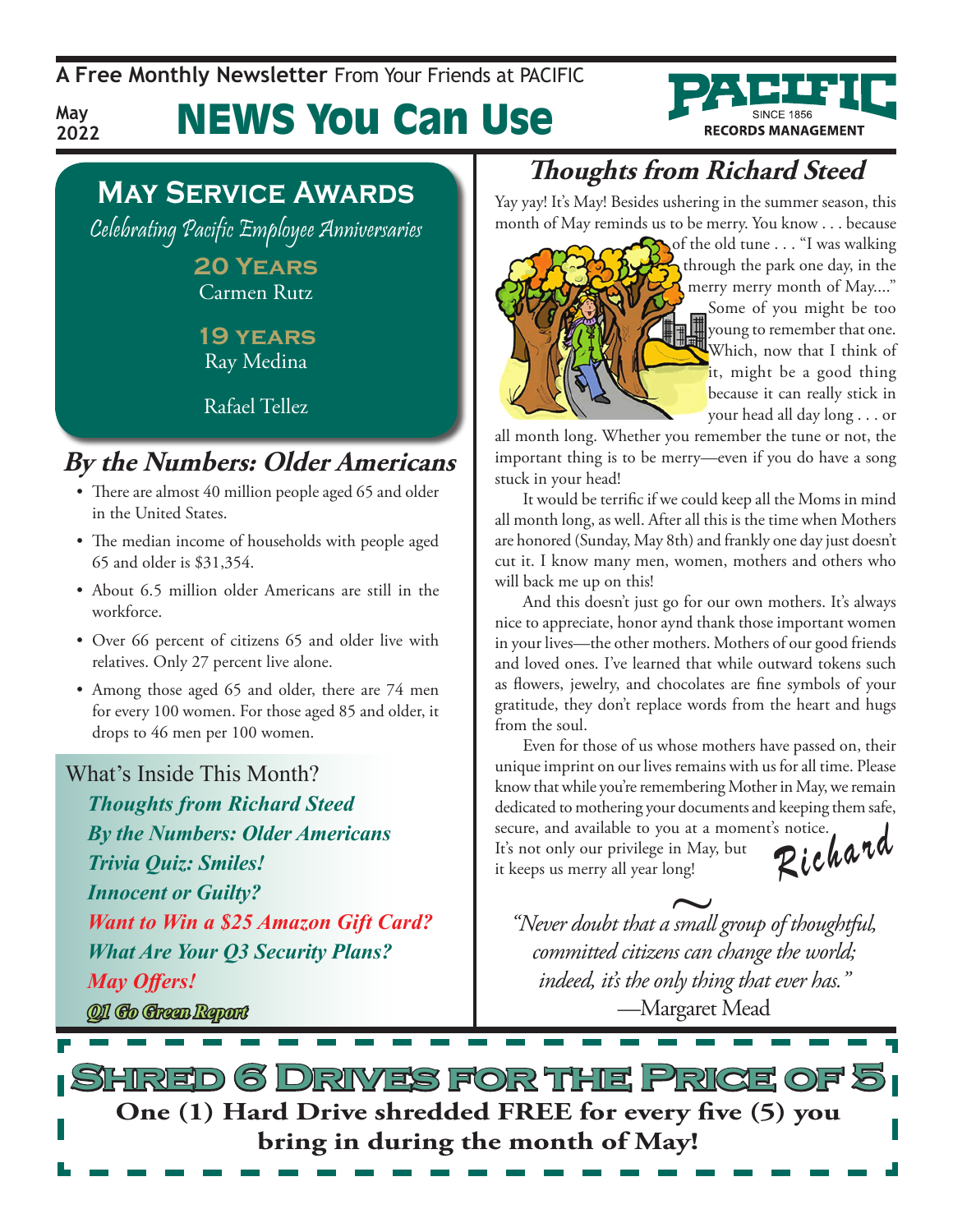**A Free Monthly Newsletter** From Your Friends at Pacific

News You Can Use



### **May Service Awards**

**May 2022**

Celebrating Pacific Employee Anniversaries

**20 Years** Carmen Rutz

**19 years** Ray Medina

Rafael Tellez

#### **By the Numbers: Older Americans**

- There are almost 40 million people aged 65 and older in the United States.
- The median income of households with people aged 65 and older is \$31,354.
- About 6.5 million older Americans are still in the workforce.
- Over 66 percent of citizens 65 and older live with relatives. Only 27 percent live alone.
- Among those aged 65 and older, there are 74 men for every 100 women. For those aged 85 and older, it drops to 46 men per 100 women.

#### What's Inside This Month?

*Thoughts from Richard Steed By the Numbers: Older Americans Trivia Quiz: Smiles! Innocent or Guilty? Want to Win a \$25 Amazon Gift Card? What Are Your Q3 Security Plans? May Offers! Q1 Go Green Report*

### **Thoughts from Richard Steed**

Yay yay! It's May! Besides ushering in the summer season, this month of May reminds us to be merry. You know . . . because



of the old tune . . . "I was walking through the park one day, in the merry merry month of May...." Some of you might be too young to remember that one. Which, now that I think of it, might be a good thing because it can really stick in your head all day long . . . or

all month long. Whether you remember the tune or not, the important thing is to be merry—even if you do have a song stuck in your head!

It would be terrific if we could keep all the Moms in mind all month long, as well. After all this is the time when Mothers are honored (Sunday, May 8th) and frankly one day just doesn't cut it. I know many men, women, mothers and others who will back me up on this!

And this doesn't just go for our own mothers. It's always nice to appreciate, honor aynd thank those important women in your lives—the other mothers. Mothers of our good friends and loved ones. I've learned that while outward tokens such as flowers, jewelry, and chocolates are fine symbols of your gratitude, they don't replace words from the heart and hugs from the soul.

Even for those of us whose mothers have passed on, their unique imprint on our lives remains with us for all time. Please know that while you're remembering Mother in May, we remain dedicated to mothering your documents and keeping them safe, secure, and available to you at a moment's notice. It's not only our privilege in May, but It's not only our privilege in May, but<br>it keeps us merry all year long!

keeps us merry all year long!<br>"Never doubt that a small group of thoughtful, *committed citizens can change the world; indeed, it's the only thing that ever has."* —Margaret Mead

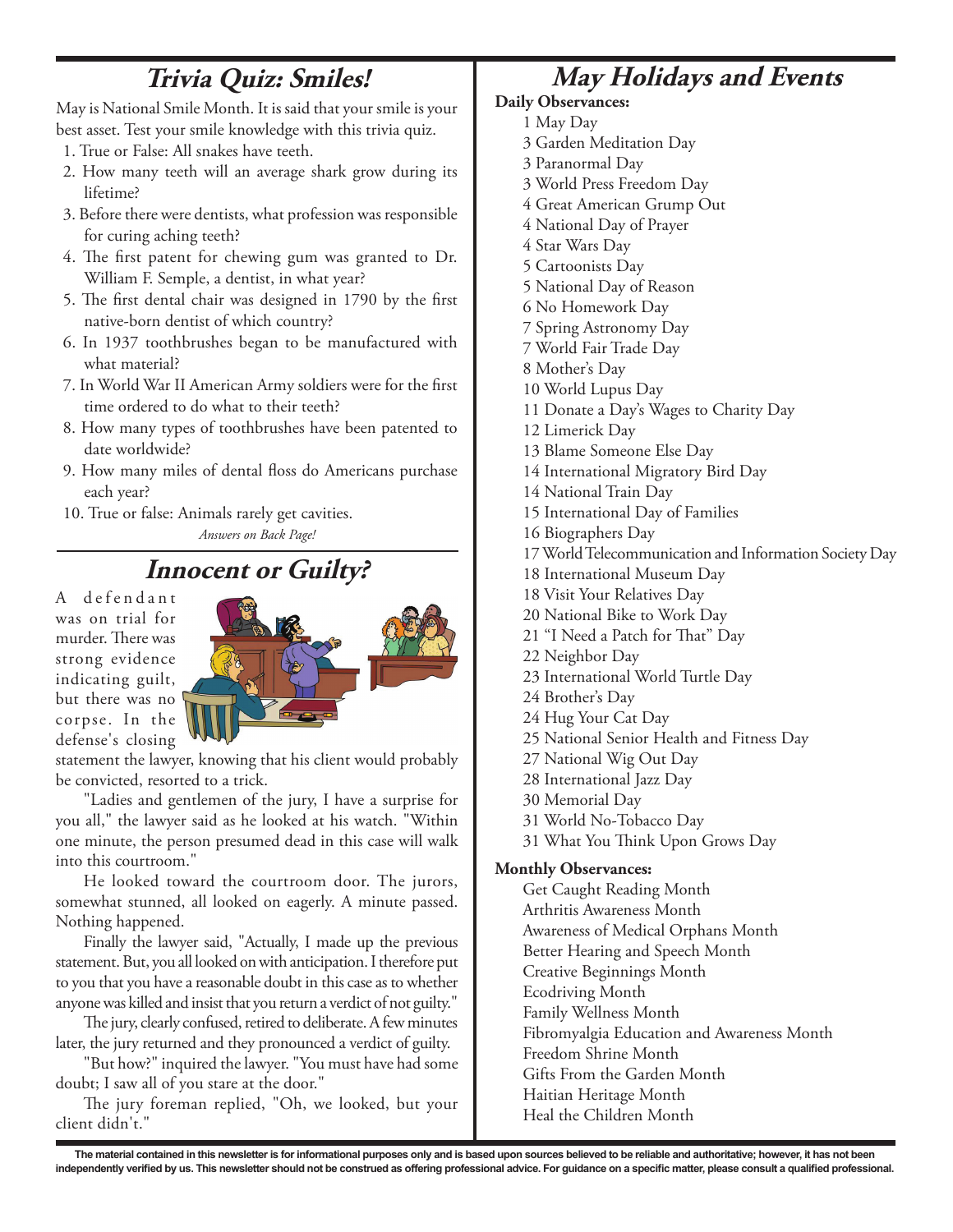#### **Trivia Quiz: Smiles!**

May is National Smile Month. It is said that your smile is your best asset. Test your smile knowledge with this trivia quiz.

- 1. True or False: All snakes have teeth.
- 2. How many teeth will an average shark grow during its lifetime?
- 3. Before there were dentists, what profession was responsible for curing aching teeth?
- 4. The first patent for chewing gum was granted to Dr. William F. Semple, a dentist, in what year?
- 5. The first dental chair was designed in 1790 by the first native-born dentist of which country?
- 6. In 1937 toothbrushes began to be manufactured with what material?
- 7. In World War II American Army soldiers were for the first time ordered to do what to their teeth?
- 8. How many types of toothbrushes have been patented to date worldwide?
- 9. How many miles of dental floss do Americans purchase each year?
- 10. True or false: Animals rarely get cavities.

*Answers on Back Page!*

#### **Innocent or Guilty?**

A defendant was on trial for murder. There was strong evidence indicating guilt, but there was no corpse. In the defense's closing



statement the lawyer, knowing that his client would probably be convicted, resorted to a trick.

"Ladies and gentlemen of the jury, I have a surprise for you all," the lawyer said as he looked at his watch. "Within one minute, the person presumed dead in this case will walk into this courtroom."

He looked toward the courtroom door. The jurors, somewhat stunned, all looked on eagerly. A minute passed. Nothing happened.

Finally the lawyer said, "Actually, I made up the previous statement. But, you all looked on with anticipation. I therefore put to you that you have a reasonable doubt in this case as to whether anyone was killed and insist that you return a verdict of not guilty."

The jury, clearly confused, retired to deliberate. A few minutes later, the jury returned and they pronounced a verdict of guilty.

"But how?" inquired the lawyer. "You must have had some doubt; I saw all of you stare at the door."

The jury foreman replied, "Oh, we looked, but your client didn't."

### **May Holidays and Events**

#### **Daily Observances:**

- 1 May Day
- 3 Garden Meditation Day
- 3 Paranormal Day
- 3 World Press Freedom Day
- 4 Great American Grump Out
- 4 National Day of Prayer
- 4 Star Wars Day
- 5 Cartoonists Day
- 5 National Day of Reason
- 6 No Homework Day
- 7 Spring Astronomy Day
- 7 World Fair Trade Day
- 8 Mother's Day
- 10 World Lupus Day
- 11 Donate a Day's Wages to Charity Day
- 12 Limerick Day
- 13 Blame Someone Else Day
- 14 International Migratory Bird Day
- 14 National Train Day
- 15 International Day of Families
- 16 Biographers Day
- 17 World Telecommunication and Information Society Day
- 18 International Museum Day
- 18 Visit Your Relatives Day
- 20 National Bike to Work Day
- 21 "I Need a Patch for That" Day
- 22 Neighbor Day
- 23 International World Turtle Day
- 24 Brother's Day
- 24 Hug Your Cat Day
- 25 National Senior Health and Fitness Day
- 27 National Wig Out Day
- 28 International Jazz Day
- 30 Memorial Day
- 31 World No-Tobacco Day
- 31 What You Think Upon Grows Day

#### **Monthly Observances:**

Get Caught Reading Month Arthritis Awareness Month Awareness of Medical Orphans Month Better Hearing and Speech Month Creative Beginnings Month Ecodriving Month Family Wellness Month Fibromyalgia Education and Awareness Month Freedom Shrine Month Gifts From the Garden Month Haitian Heritage Month Heal the Children Month

The material contained in this newsletter is for informational purposes only and is based upon sources believed to be reliable and authoritative; however, it has not been independently verified by us. This newsletter should not be construed as offering professional advice. For guidance on a specific matter, please consult a qualified professional.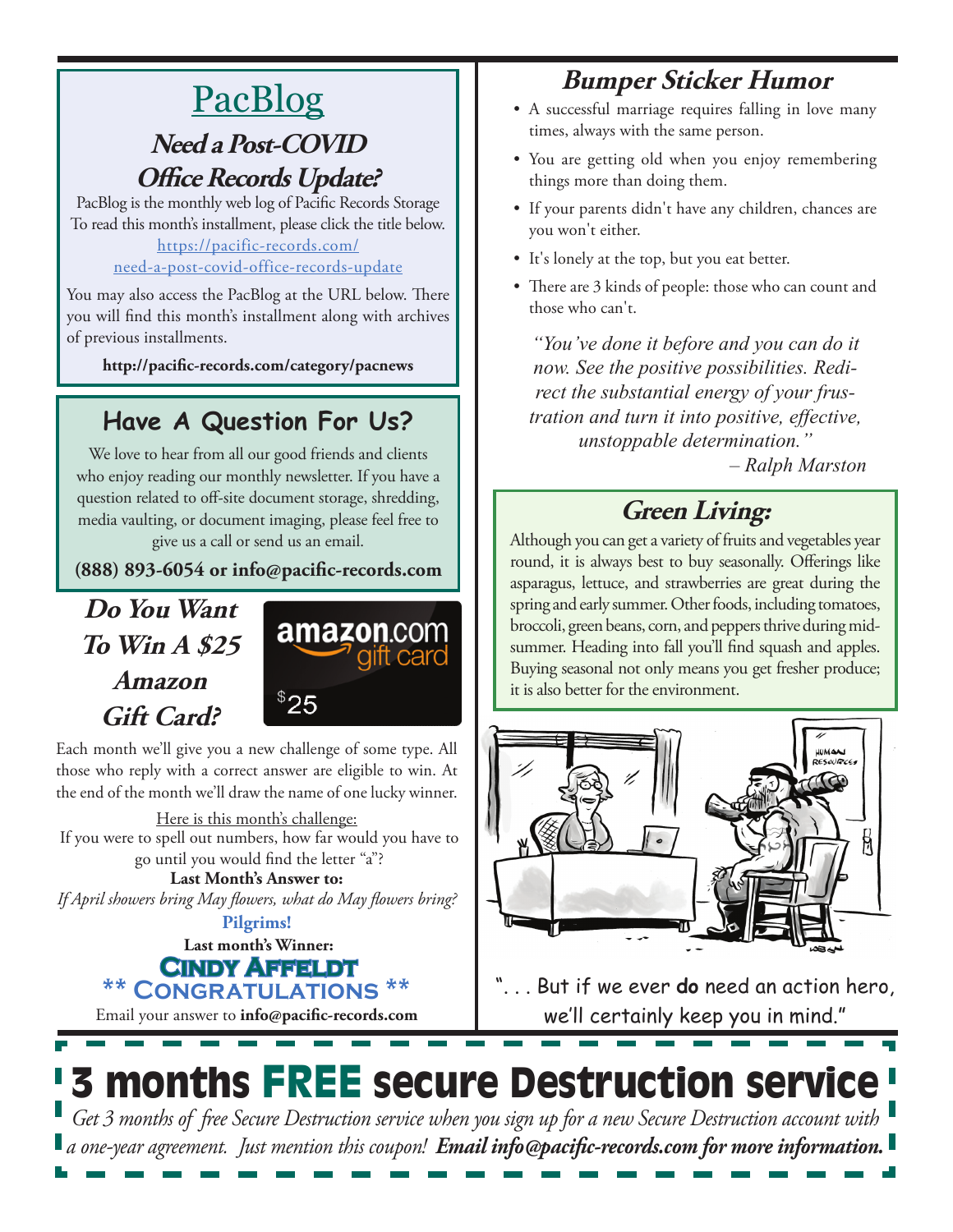## PacBlog

#### **Need a Post-COVID Office Records Update?**

PacBlog is the monthly web log of Pacific Records Storage To read this month's installment, please click the title below[.](http://pacific-records.com/5-advantages-of-a-local-shredding-and-destruction-provider)

#### [https://pacific-records.com/](https://pacific-records.com/need-a-post-covid-office-records-update) [need-a-post-covid-office-records-update](https://pacific-records.com/need-a-post-covid-office-records-update)

You may also access the PacBlog at the URL below. There you will find this month's installment along with archives of previous installments.

**http://pacific-records.com/category/pacnews**

### **Have A Question For Us?**

We love to hear from all our good friends and clients who enjoy reading our monthly newsletter. If you have a question related to off-site document storage, shredding, media vaulting, or document imaging, please feel free to give us a call or send us an email.

**(888) 893-6054 or info@pacific-records.com**

### **Do You Want To Win A \$25 Amazon Gift Card?**



Each month we'll give you a new challenge of some type. All those who reply with a correct answer are eligible to win. At the end of the month we'll draw the name of one lucky winner.

Here is this month's challenge: If you were to spell out numbers, how far would you have to go until you would find the letter "a"?

**Last Month's Answer to:**  *If April showers bring May flowers, what do May flowers bring?*

**Last month's Winner: Pilgrims!**

**Cindy Affeldt**  $$ 

Email your answer to **info@pacific-records.com**

### **Bumper Sticker Humor**

- A successful marriage requires falling in love many times, always with the same person.
- You are getting old when you enjoy remembering things more than doing them.
- If your parents didn't have any children, chances are you won't either.
- It's lonely at the top, but you eat better.
- There are 3 kinds of people: those who can count and those who can't.

*"You've done it before and you can do it now. See the positive possibilities. Redirect the substantial energy of your frustration and turn it into positive, effective, unstoppable determination."*

*– Ralph Marston*

### **Green Living:**

Although you can get a variety of fruits and vegetables year round, it is always best to buy seasonally. Offerings like asparagus, lettuce, and strawberries are great during the spring and early summer. Other foods, including tomatoes, broccoli, green beans, corn, and peppers thrive during midsummer. Heading into fall you'll find squash and apples. Buying seasonal not only means you get fresher produce; it is also better for the environment.



". . . But if we ever **do** need an action hero, we'll certainly keep you in mind."

# 3 months FREE secure Destruction service

*Get 3 months of free Secure Destruction service when you sign up for a new Secure Destruction account with a one-year agreement. Just mention this coupon! Email info@pacific-records.com for more information.*